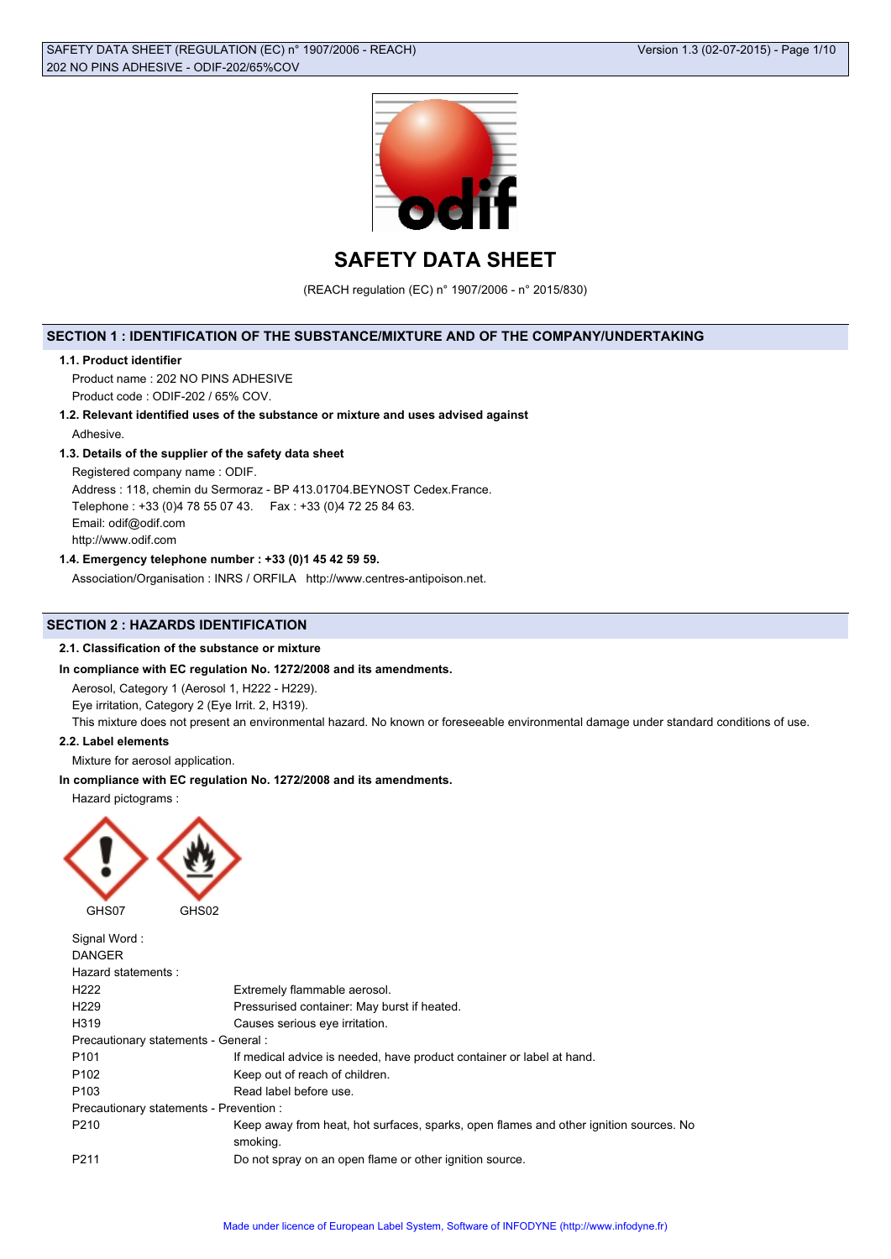

**SAFETY DATA SHEET**

(REACH regulation (EC) n° 1907/2006 - n° 2015/830)

# **SECTION 1 : IDENTIFICATION OF THE SUBSTANCE/MIXTURE AND OF THE COMPANY/UNDERTAKING**

## **1.1. Product identifier**

Product name : 202 NO PINS ADHESIVE Product code : ODIF-202 / 65% COV.

**1.2. Relevant identified uses of the substance or mixture and uses advised against**

Adhesive.

# **1.3. Details of the supplier of the safety data sheet**

Registered company name : ODIF.

Address : 118, chemin du Sermoraz - BP 413.01704.BEYNOST Cedex.France. Telephone : +33 (0)4 78 55 07 43. Fax : +33 (0)4 72 25 84 63. Email: odif@odif.com http://www.odif.com

# **1.4. Emergency telephone number : +33 (0)1 45 42 59 59.**

Association/Organisation : INRS / ORFILA http://www.centres-antipoison.net.

# **SECTION 2 : HAZARDS IDENTIFICATION**

## **2.1. Classification of the substance or mixture**

# **In compliance with EC regulation No. 1272/2008 and its amendments.**

Aerosol, Category 1 (Aerosol 1, H222 - H229).

Eye irritation, Category 2 (Eye Irrit. 2, H319).

This mixture does not present an environmental hazard. No known or foreseeable environmental damage under standard conditions of use.

## **2.2. Label elements**

Mixture for aerosol application.

# **In compliance with EC regulation No. 1272/2008 and its amendments.**

Hazard pictograms :



| Signal Word:                            |                                                                                                   |
|-----------------------------------------|---------------------------------------------------------------------------------------------------|
| <b>DANGER</b>                           |                                                                                                   |
| Hazard statements:                      |                                                                                                   |
| H <sub>222</sub>                        | Extremely flammable aerosol.                                                                      |
| H <sub>229</sub>                        | Pressurised container: May burst if heated.                                                       |
| H319                                    | Causes serious eye irritation.                                                                    |
| Precautionary statements - General :    |                                                                                                   |
| P <sub>101</sub>                        | If medical advice is needed, have product container or label at hand.                             |
| P <sub>102</sub>                        | Keep out of reach of children.                                                                    |
| P <sub>103</sub>                        | Read label before use.                                                                            |
| Precautionary statements - Prevention : |                                                                                                   |
| P210                                    | Keep away from heat, hot surfaces, sparks, open flames and other ignition sources. No<br>smoking. |
| P <sub>211</sub>                        | Do not spray on an open flame or other ignition source.                                           |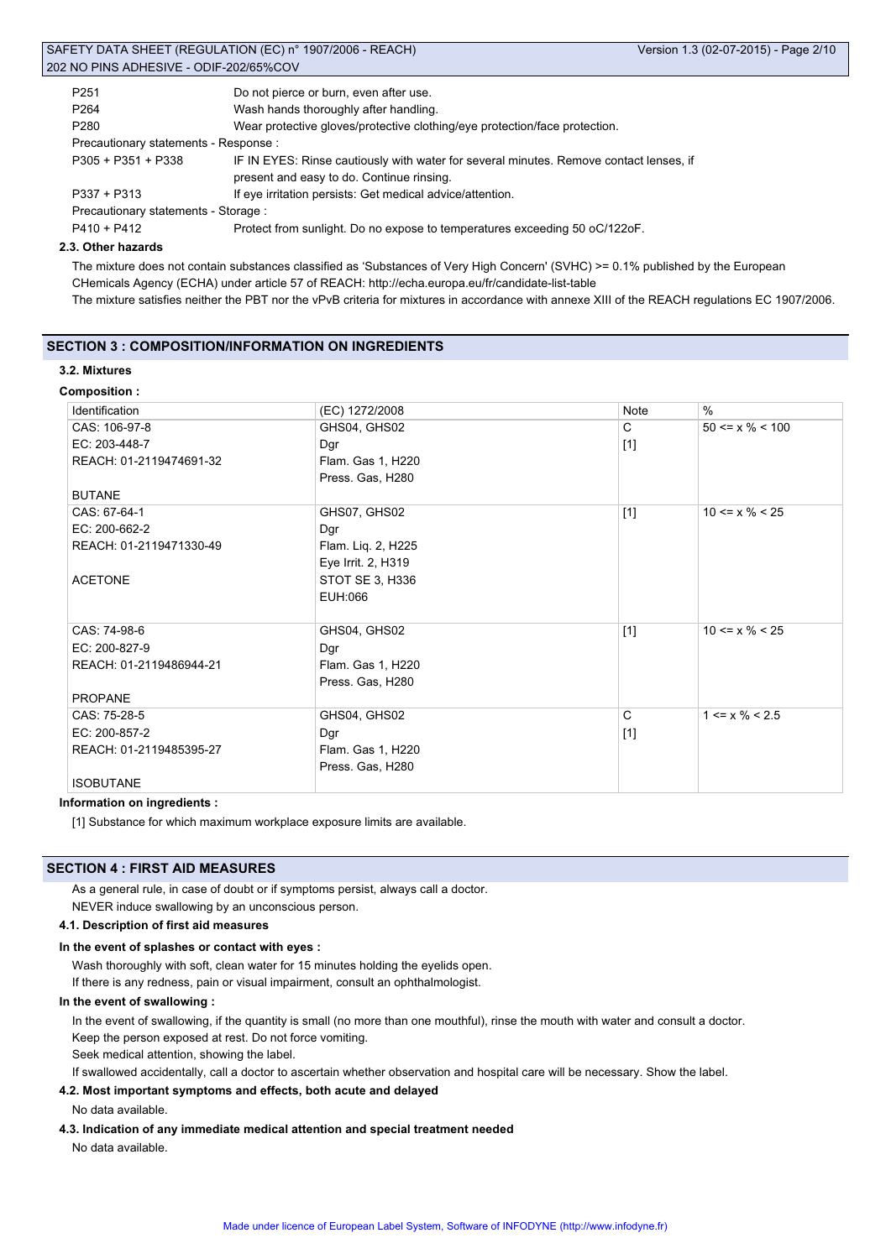|                                        | SAFETY DATA SHEET (REGULATION (EC) n° 1907/2006 - REACH)                               | Version 1.3 (02-07-2015) - Page 2/10 |
|----------------------------------------|----------------------------------------------------------------------------------------|--------------------------------------|
| 202 NO PINS ADHESIVE - ODIF-202/65%COV |                                                                                        |                                      |
| P <sub>251</sub>                       | Do not pierce or burn, even after use.                                                 |                                      |
| P <sub>264</sub>                       | Wash hands thoroughly after handling.                                                  |                                      |
| P <sub>280</sub>                       | Wear protective gloves/protective clothing/eye protection/face protection.             |                                      |
| Precautionary statements - Response :  |                                                                                        |                                      |
| $P305 + P351 + P338$                   | IF IN EYES: Rinse cautiously with water for several minutes. Remove contact lenses, if |                                      |
|                                        | present and easy to do. Continue rinsing.                                              |                                      |
| $P337 + P313$                          | If eye irritation persists: Get medical advice/attention.                              |                                      |
| Precautionary statements - Storage :   |                                                                                        |                                      |

P410 + P412 Protect from sunlight. Do no expose to temperatures exceeding 50 oC/122oF.

#### **2.3. Other hazards**

The mixture does not contain substances classified as 'Substances of Very High Concern' (SVHC) >= 0.1% published by the European CHemicals Agency (ECHA) under article 57 of REACH: http://echa.europa.eu/fr/candidate-list-table The mixture satisfies neither the PBT nor the vPvB criteria for mixtures in accordance with annexe XIII of the REACH regulations EC 1907/2006.

## **SECTION 3 : COMPOSITION/INFORMATION ON INGREDIENTS**

# **3.2. Mixtures**

## **Composition :**

| Identification          | (EC) 1272/2008     | Note                                                                                                                                                                                                                                                                                       | $\%$                          |
|-------------------------|--------------------|--------------------------------------------------------------------------------------------------------------------------------------------------------------------------------------------------------------------------------------------------------------------------------------------|-------------------------------|
| CAS: 106-97-8           | GHS04, GHS02       | C                                                                                                                                                                                                                                                                                          | $50 \le x \% \le 100$         |
| EC: 203-448-7           | Dgr                | $[1]$                                                                                                                                                                                                                                                                                      |                               |
| REACH: 01-2119474691-32 | Flam. Gas 1, H220  |                                                                                                                                                                                                                                                                                            |                               |
|                         | Press. Gas, H280   |                                                                                                                                                                                                                                                                                            |                               |
| <b>BUTANE</b>           |                    |                                                                                                                                                                                                                                                                                            |                               |
| CAS: 67-64-1            | GHS07, GHS02       | $[1]$                                                                                                                                                                                                                                                                                      | $10 \le x \% \le 25$          |
| EC: 200-662-2           | Dgr                |                                                                                                                                                                                                                                                                                            |                               |
| REACH: 01-2119471330-49 | Flam. Liq. 2, H225 |                                                                                                                                                                                                                                                                                            |                               |
|                         | Eye Irrit. 2, H319 |                                                                                                                                                                                                                                                                                            |                               |
| <b>ACETONE</b>          | STOT SE 3, H336    |                                                                                                                                                                                                                                                                                            |                               |
|                         | EUH:066            |                                                                                                                                                                                                                                                                                            |                               |
|                         |                    |                                                                                                                                                                                                                                                                                            |                               |
| CAS: 74-98-6            | GHS04, GHS02       | $[1]$                                                                                                                                                                                                                                                                                      | $10 \le x \% \le 25$          |
| EC: 200-827-9           | Dgr                |                                                                                                                                                                                                                                                                                            |                               |
| REACH: 01-2119486944-21 | Flam. Gas 1, H220  |                                                                                                                                                                                                                                                                                            |                               |
|                         | Press. Gas, H280   |                                                                                                                                                                                                                                                                                            |                               |
| <b>PROPANE</b>          |                    |                                                                                                                                                                                                                                                                                            |                               |
| CAS: 75-28-5            | GHS04, GHS02       | C                                                                                                                                                                                                                                                                                          | $1 \le x \frac{9}{6} \le 2.5$ |
| EC: 200-857-2           | Dgr                | $[1] % \centering \includegraphics[width=0.9\columnwidth]{figures/fig_10.pdf} \caption{The figure shows the number of times on the right, and the number of times on the right, respectively. The left and right is the number of times on the right, respectively.} \label{fig:fig:time}$ |                               |
| REACH: 01-2119485395-27 | Flam. Gas 1, H220  |                                                                                                                                                                                                                                                                                            |                               |
|                         | Press. Gas, H280   |                                                                                                                                                                                                                                                                                            |                               |
| <b>ISOBUTANE</b>        |                    |                                                                                                                                                                                                                                                                                            |                               |

**Information on ingredients :**

[1] Substance for which maximum workplace exposure limits are available.

## **SECTION 4 : FIRST AID MEASURES**

As a general rule, in case of doubt or if symptoms persist, always call a doctor. NEVER induce swallowing by an unconscious person.

## **4.1. Description of first aid measures**

## **In the event of splashes or contact with eyes :**

Wash thoroughly with soft, clean water for 15 minutes holding the eyelids open.

If there is any redness, pain or visual impairment, consult an ophthalmologist.

## **In the event of swallowing :**

In the event of swallowing, if the quantity is small (no more than one mouthful), rinse the mouth with water and consult a doctor. Keep the person exposed at rest. Do not force vomiting.

Seek medical attention, showing the label.

If swallowed accidentally, call a doctor to ascertain whether observation and hospital care will be necessary. Show the label.

## **4.2. Most important symptoms and effects, both acute and delayed**

No data available.

## **4.3. Indication of any immediate medical attention and special treatment needed**

No data available.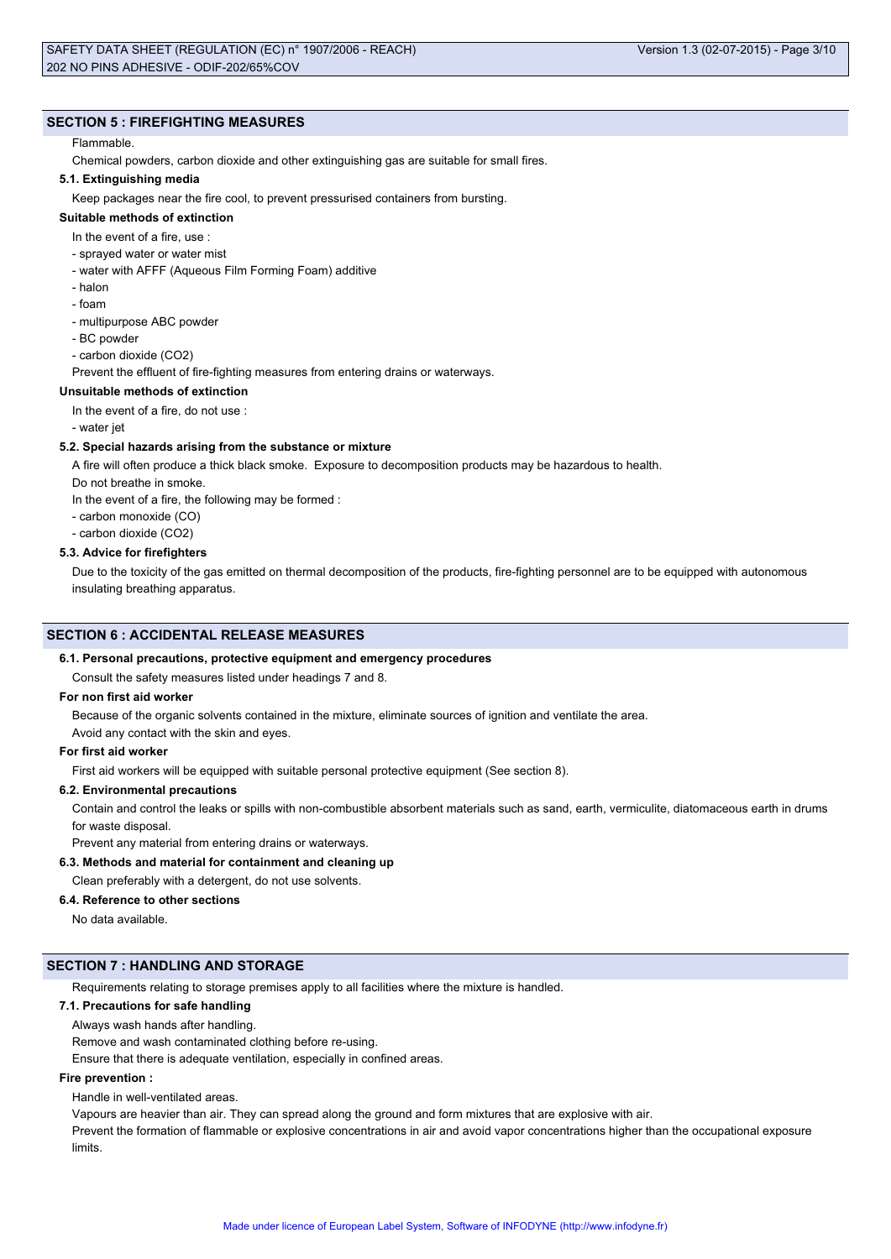# **SECTION 5 : FIREFIGHTING MEASURES**

## Flammable.

Chemical powders, carbon dioxide and other extinguishing gas are suitable for small fires.

## **5.1. Extinguishing media**

Keep packages near the fire cool, to prevent pressurised containers from bursting.

# **Suitable methods of extinction**

- In the event of a fire, use :
- sprayed water or water mist
- water with AFFF (Aqueous Film Forming Foam) additive
- halon
- foam
- multipurpose ABC powder
- BC powder
- carbon dioxide (CO2)

Prevent the effluent of fire-fighting measures from entering drains or waterways.

# **Unsuitable methods of extinction**

In the event of a fire, do not use :

- water jet

## **5.2. Special hazards arising from the substance or mixture**

A fire will often produce a thick black smoke. Exposure to decomposition products may be hazardous to health.

Do not breathe in smoke.

In the event of a fire, the following may be formed :

- carbon monoxide (CO)
- carbon dioxide (CO2)

#### **5.3. Advice for firefighters**

Due to the toxicity of the gas emitted on thermal decomposition of the products, fire-fighting personnel are to be equipped with autonomous insulating breathing apparatus.

## **SECTION 6 : ACCIDENTAL RELEASE MEASURES**

#### **6.1. Personal precautions, protective equipment and emergency procedures**

# Consult the safety measures listed under headings 7 and 8.

## **For non first aid worker**

Because of the organic solvents contained in the mixture, eliminate sources of ignition and ventilate the area.

Avoid any contact with the skin and eyes.

# **For first aid worker**

First aid workers will be equipped with suitable personal protective equipment (See section 8).

## **6.2. Environmental precautions**

Contain and control the leaks or spills with non-combustible absorbent materials such as sand, earth, vermiculite, diatomaceous earth in drums for waste disposal.

Prevent any material from entering drains or waterways.

## **6.3. Methods and material for containment and cleaning up**

Clean preferably with a detergent, do not use solvents.

### **6.4. Reference to other sections**

No data available.

## **SECTION 7 : HANDLING AND STORAGE**

Requirements relating to storage premises apply to all facilities where the mixture is handled.

## **7.1. Precautions for safe handling**

Always wash hands after handling.

Remove and wash contaminated clothing before re-using.

Ensure that there is adequate ventilation, especially in confined areas.

## **Fire prevention :**

Handle in well-ventilated areas.

Vapours are heavier than air. They can spread along the ground and form mixtures that are explosive with air.

Prevent the formation of flammable or explosive concentrations in air and avoid vapor concentrations higher than the occupational exposure limits.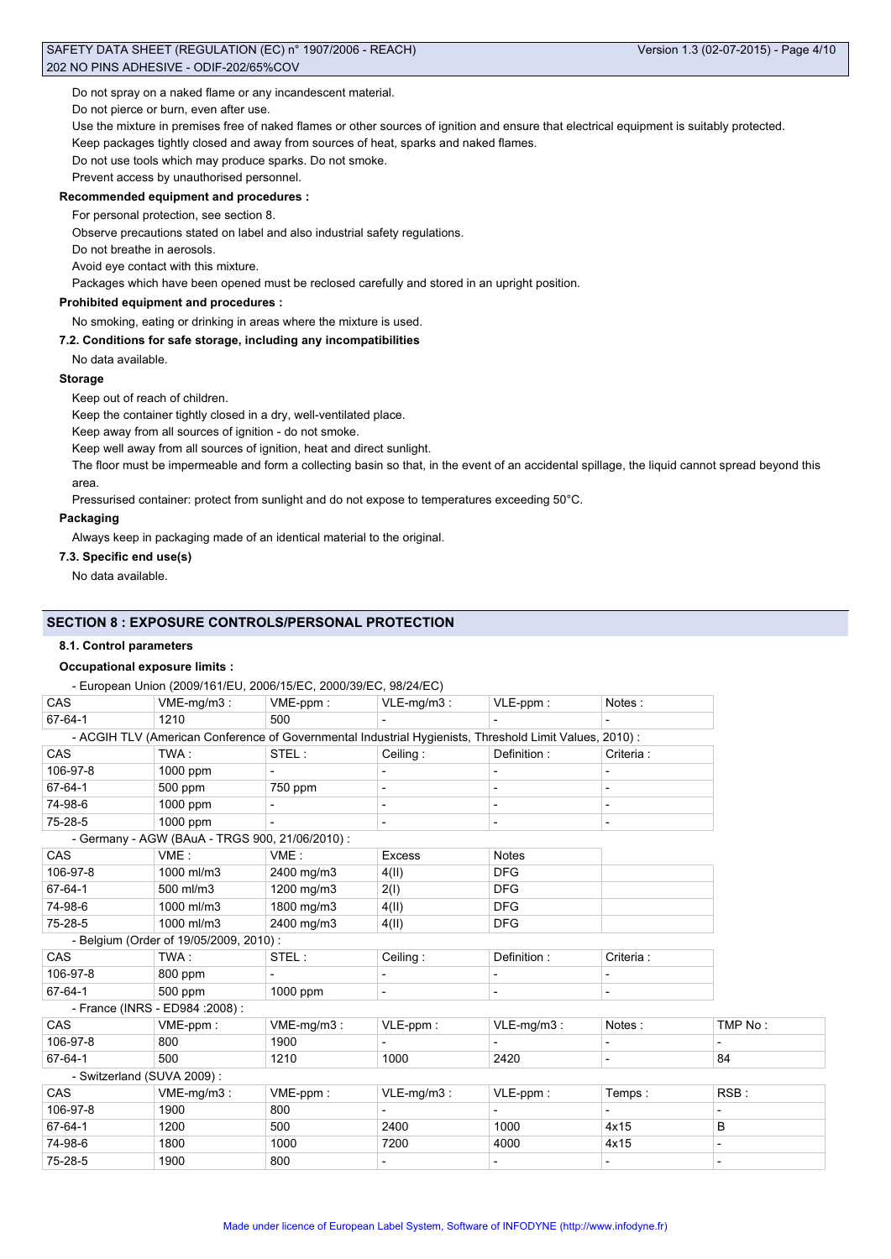Do not spray on a naked flame or any incandescent material.

Do not pierce or burn, even after use.

Use the mixture in premises free of naked flames or other sources of ignition and ensure that electrical equipment is suitably protected.

Keep packages tightly closed and away from sources of heat, sparks and naked flames.

Do not use tools which may produce sparks. Do not smoke.

Prevent access by unauthorised personnel.

## **Recommended equipment and procedures :**

For personal protection, see section 8.

Observe precautions stated on label and also industrial safety regulations.

Do not breathe in aerosols.

#### Avoid eye contact with this mixture.

Packages which have been opened must be reclosed carefully and stored in an upright position.

# **Prohibited equipment and procedures :**

No smoking, eating or drinking in areas where the mixture is used.

## **7.2. Conditions for safe storage, including any incompatibilities**

No data available.

## **Storage**

Keep out of reach of children.

Keep the container tightly closed in a dry, well-ventilated place.

Keep away from all sources of ignition - do not smoke.

Keep well away from all sources of ignition, heat and direct sunlight.

The floor must be impermeable and form a collecting basin so that, in the event of an accidental spillage, the liquid cannot spread beyond this area.

Pressurised container: protect from sunlight and do not expose to temperatures exceeding 50°C.

# **Packaging**

Always keep in packaging made of an identical material to the original.

## **7.3. Specific end use(s)**

No data available.

# **SECTION 8 : EXPOSURE CONTROLS/PERSONAL PROTECTION**

# **8.1. Control parameters**

# **Occupational exposure limits :**

- European Union (2009/161/EU, 2006/15/EC, 2000/39/EC, 98/24/EC)

| CAS      | $VME-mg/m3$ :                                                                                          | VME-ppm:      | $VLE-mg/m3$ :            | VLE-ppm:       | Notes:                   |                          |
|----------|--------------------------------------------------------------------------------------------------------|---------------|--------------------------|----------------|--------------------------|--------------------------|
| 67-64-1  | 1210                                                                                                   | 500           |                          |                |                          |                          |
|          | - ACGIH TLV (American Conference of Governmental Industrial Hygienists, Threshold Limit Values, 2010): |               |                          |                |                          |                          |
| CAS      | TWA :                                                                                                  | STEL:         | Ceiling:                 | Definition:    | Criteria:                |                          |
| 106-97-8 | $1000$ ppm                                                                                             |               |                          |                |                          |                          |
| 67-64-1  | 500 ppm                                                                                                | 750 ppm       |                          |                |                          |                          |
| 74-98-6  | 1000 ppm                                                                                               |               | $\overline{\phantom{a}}$ |                | $\overline{\phantom{a}}$ |                          |
| 75-28-5  | 1000 ppm                                                                                               |               | $\overline{\phantom{a}}$ | $\blacksquare$ | $\overline{\phantom{a}}$ |                          |
|          | - Germany - AGW (BAuA - TRGS 900, 21/06/2010) :                                                        |               |                          |                |                          |                          |
| CAS      | VME:                                                                                                   | VME:          | <b>Excess</b>            | <b>Notes</b>   |                          |                          |
| 106-97-8 | 1000 ml/m3                                                                                             | 2400 mg/m3    | 4(II)                    | <b>DFG</b>     |                          |                          |
| 67-64-1  | 500 ml/m3                                                                                              | 1200 mg/m3    | 2(I)                     | <b>DFG</b>     |                          |                          |
| 74-98-6  | 1000 ml/m3                                                                                             | 1800 mg/m3    | 4(II)                    | <b>DFG</b>     |                          |                          |
| 75-28-5  | 1000 ml/m3                                                                                             | 2400 mg/m3    | 4(II)                    | <b>DFG</b>     |                          |                          |
|          | - Belgium (Order of 19/05/2009, 2010) :                                                                |               |                          |                |                          |                          |
| CAS      | TWA:                                                                                                   | STEL:         | Ceiling:                 | Definition:    | Criteria:                |                          |
| 106-97-8 | 800 ppm                                                                                                |               | $\blacksquare$           |                | $\blacksquare$           |                          |
| 67-64-1  | 500 ppm                                                                                                | 1000 ppm      |                          |                |                          |                          |
|          | - France (INRS - ED984 : 2008) :                                                                       |               |                          |                |                          |                          |
| CAS      | VME-ppm:                                                                                               | $VME-mg/m3$ : | VLE-ppm:                 | $VLE-mg/m3$ :  | Notes:                   | TMP No:                  |
| 106-97-8 | 800                                                                                                    | 1900          |                          |                |                          |                          |
| 67-64-1  | 500                                                                                                    | 1210          | 1000                     | 2420           | $\blacksquare$           | 84                       |
|          | - Switzerland (SUVA 2009):                                                                             |               |                          |                |                          |                          |
| CAS      | VME-mg/m3:                                                                                             | VME-ppm:      | $VLE-mg/m3$ :            | VLE-ppm:       | Temps:                   | RSB:                     |
| 106-97-8 | 1900                                                                                                   | 800           |                          |                |                          | $\overline{\phantom{a}}$ |
| 67-64-1  | 1200                                                                                                   | 500           | 2400                     | 1000           | 4x15                     | B                        |
| 74-98-6  | 1800                                                                                                   | 1000          | 7200                     | 4000           | 4x15                     |                          |
| 75-28-5  | 1900                                                                                                   | 800           |                          |                |                          |                          |
|          |                                                                                                        |               |                          |                |                          |                          |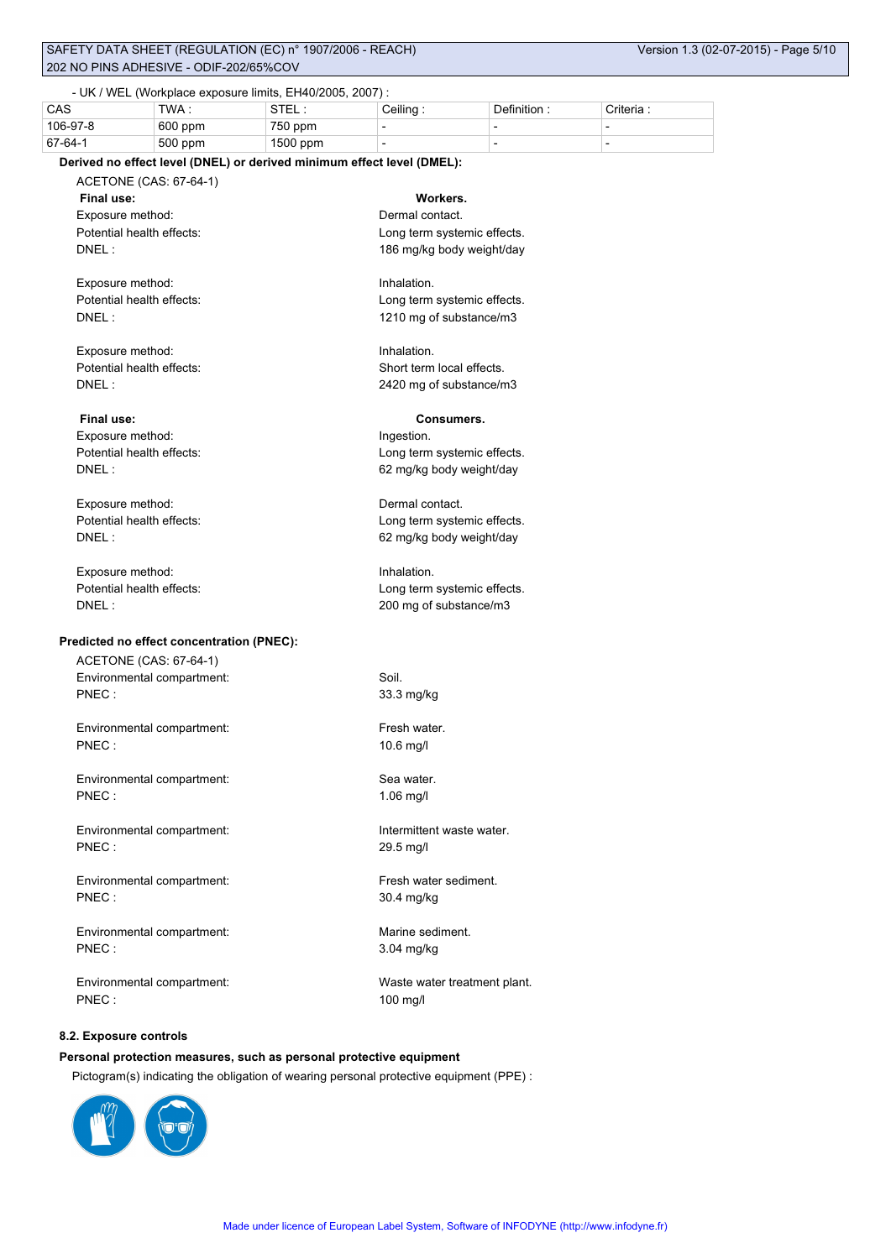# SAFETY DATA SHEET (REGULATION (EC) n° 1907/2006 - REACH) Version 1.3 (02-07-2015) - Page 5/10 202 NO PINS ADHESIVE - ODIF-202/65%COV

# - UK / WEL (Workplace exposure limits, EH40/2005, 2007) :

| CAS      | TWA.      | ᅂᅚ<br>.  | Ceilina : | Definition: | Criteria |
|----------|-----------|----------|-----------|-------------|----------|
| 106-97-8 | $600$ ppm | 750 ppm  |           |             |          |
| 67-64-1  | 500 ppm   | 1500 ppm |           |             |          |

## **Derived no effect level (DNEL) or derived minimum effect level (DMEL):**

ACETONE (CAS: 67-64-1) **Final use:** Exposure method: Derman contact. Potential health effects: Long term systemic effects. DNEL : 186 mg/kg body weight/day

Exposure method: **Inhalation** 

Exposure method: Inhalation.

Exposure method: Ingestion.

Exposure method:  $\blacksquare$ 

Exposure method: Inhalation.

# **Predicted no effect concentration (PNEC):**

ACETONE (CAS: 67-64-1) Environmental compartment: Soil. PNEC : 33.3 mg/kg

Environmental compartment: Fresh water. PNEC : 10.6 mg/l

Environmental compartment: Sea water. PNEC : 1.06 mg/l

Environmental compartment: Intermittent waste water. PNEC : 29.5 mg/l

Environmental compartment: Fresh water sediment. PNEC : 30.4 mg/kg

Environmental compartment: Marine sediment. PNEC : 3.04 mg/kg

Environmental compartment: Waste water treatment plant. PNEC : 100 mg/l

## **8.2. Exposure controls**

# **Personal protection measures, such as personal protective equipment**

Pictogram(s) indicating the obligation of wearing personal protective equipment (PPE) :



| Workers.                   |  |  |  |
|----------------------------|--|--|--|
| )ermal contact.            |  |  |  |
| ong term systemic effects. |  |  |  |
|                            |  |  |  |

Potential health effects: Long term systemic effects. DNEL : 1210 mg of substance/m3

Potential health effects: Short term local effects. DNEL : 2420 mg of substance/m3

# **Final use: Consumers.**

Potential health effects: Long term systemic effects. DNEL : 62 mg/kg body weight/day

Potential health effects: Long term systemic effects. DNEL : 62 mg/kg body weight/day

Potential health effects: <br>
Long term systemic effects. DNEL : 200 mg of substance/m3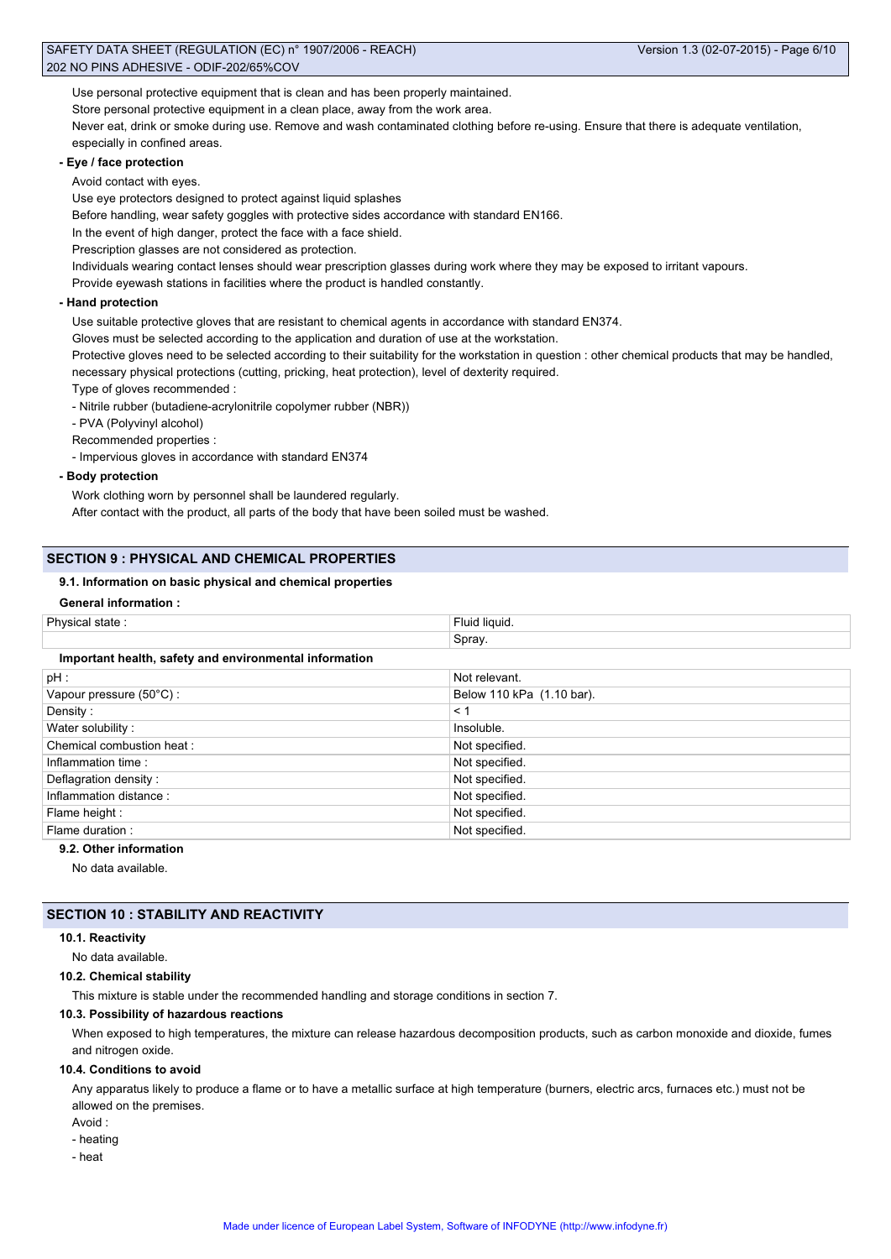Use personal protective equipment that is clean and has been properly maintained.

Store personal protective equipment in a clean place, away from the work area.

Never eat, drink or smoke during use. Remove and wash contaminated clothing before re-using. Ensure that there is adequate ventilation, especially in confined areas.

## **- Eye / face protection**

Avoid contact with eyes.

Use eye protectors designed to protect against liquid splashes

Before handling, wear safety goggles with protective sides accordance with standard EN166.

In the event of high danger, protect the face with a face shield.

Prescription glasses are not considered as protection.

Individuals wearing contact lenses should wear prescription glasses during work where they may be exposed to irritant vapours.

Provide eyewash stations in facilities where the product is handled constantly.

## **- Hand protection**

Use suitable protective gloves that are resistant to chemical agents in accordance with standard EN374.

Gloves must be selected according to the application and duration of use at the workstation.

Protective gloves need to be selected according to their suitability for the workstation in question : other chemical products that may be handled, necessary physical protections (cutting, pricking, heat protection), level of dexterity required.

Type of gloves recommended :

- Nitrile rubber (butadiene-acrylonitrile copolymer rubber (NBR))

- PVA (Polyvinyl alcohol)

Recommended properties :

- Impervious gloves in accordance with standard EN374

**- Body protection**

Work clothing worn by personnel shall be laundered regularly.

After contact with the product, all parts of the body that have been soiled must be washed.

# **SECTION 9 : PHYSICAL AND CHEMICAL PROPERTIES**

## **9.1. Information on basic physical and chemical properties**

## **General information :**

| Physical state:                                        | Fluid liquid.             |  |  |
|--------------------------------------------------------|---------------------------|--|--|
|                                                        | Spray.                    |  |  |
| Important health, safety and environmental information |                           |  |  |
| $pH$ :                                                 | Not relevant.             |  |  |
| Vapour pressure $(50^{\circ}C)$ :                      | Below 110 kPa (1.10 bar). |  |  |
| Density:                                               | < 1                       |  |  |
| Water solubility:                                      | Insoluble.                |  |  |
| Chemical combustion heat:                              | Not specified.            |  |  |
| Inflammation time:                                     | Not specified.            |  |  |
| Deflagration density:                                  | Not specified.            |  |  |
| Inflammation distance:                                 | Not specified.            |  |  |
| Flame height :                                         | Not specified.            |  |  |
| Flame duration:                                        | Not specified.            |  |  |

# **9.2. Other information**

No data available.

# **SECTION 10 : STABILITY AND REACTIVITY**

#### **10.1. Reactivity**

No data available.

## **10.2. Chemical stability**

This mixture is stable under the recommended handling and storage conditions in section 7.

## **10.3. Possibility of hazardous reactions**

When exposed to high temperatures, the mixture can release hazardous decomposition products, such as carbon monoxide and dioxide, fumes and nitrogen oxide.

## **10.4. Conditions to avoid**

Any apparatus likely to produce a flame or to have a metallic surface at high temperature (burners, electric arcs, furnaces etc.) must not be allowed on the premises.

- Avoid :
- heating
- heat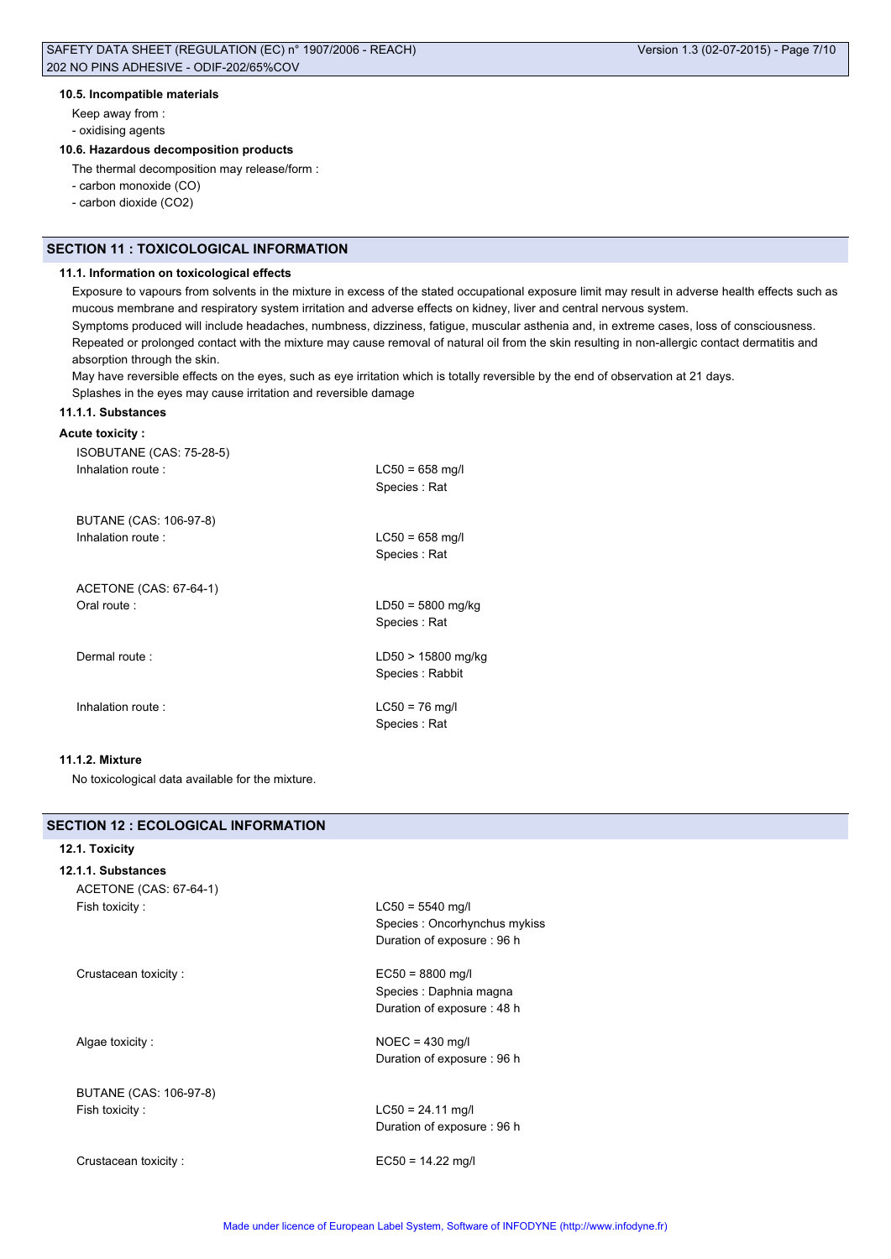## **10.5. Incompatible materials**

Keep away from : - oxidising agents

# **10.6. Hazardous decomposition products**

The thermal decomposition may release/form :

- carbon monoxide (CO)
- carbon dioxide (CO2)

# **SECTION 11 : TOXICOLOGICAL INFORMATION**

# **11.1. Information on toxicological effects**

Exposure to vapours from solvents in the mixture in excess of the stated occupational exposure limit may result in adverse health effects such as mucous membrane and respiratory system irritation and adverse effects on kidney, liver and central nervous system. Symptoms produced will include headaches, numbness, dizziness, fatigue, muscular asthenia and, in extreme cases, loss of consciousness. Repeated or prolonged contact with the mixture may cause removal of natural oil from the skin resulting in non-allergic contact dermatitis and absorption through the skin.

May have reversible effects on the eyes, such as eye irritation which is totally reversible by the end of observation at 21 days. Splashes in the eyes may cause irritation and reversible damage

# **11.1.1. Substances**

# **Acute toxicity :**

| ISOBUTANE (CAS: 75-28-5) | $LC50 = 658$ mg/l                     |
|--------------------------|---------------------------------------|
| Inhalation route:        | Species: Rat                          |
| BUTANE (CAS: 106-97-8)   | $LC50 = 658$ mg/l                     |
| Inhalation route:        | Species: Rat                          |
| ACETONE (CAS: 67-64-1)   | $LD50 = 5800$ mg/kg                   |
| Oral route:              | Species: Rat                          |
| Dermal route:            | LD50 > 15800 mg/kg<br>Species: Rabbit |
| Inhalation route:        | $LC50 = 76$ mg/l<br>Species: Rat      |

# **11.1.2. Mixture**

No toxicological data available for the mixture.

| SECTION 12 : ECOLOGICAL INFORMATION |                              |
|-------------------------------------|------------------------------|
| 12.1. Toxicity                      |                              |
| 12.1.1. Substances                  |                              |
| ACETONE (CAS: 67-64-1)              |                              |
| Fish toxicity:                      | $LC50 = 5540$ mg/l           |
|                                     | Species: Oncorhynchus mykiss |
|                                     | Duration of exposure: 96 h   |
| Crustacean toxicity:                | $EC50 = 8800$ mg/l           |
|                                     | Species : Daphnia magna      |
|                                     | Duration of exposure: 48 h   |
| Algae toxicity:                     | $NOEC = 430$ mg/l            |
|                                     | Duration of exposure: 96 h   |
| BUTANE (CAS: 106-97-8)              |                              |
| Fish toxicity:                      | $LC50 = 24.11$ mg/l          |
|                                     | Duration of exposure: 96 h   |
| Crustacean toxicity:                | $EC50 = 14.22$ mg/l          |
|                                     |                              |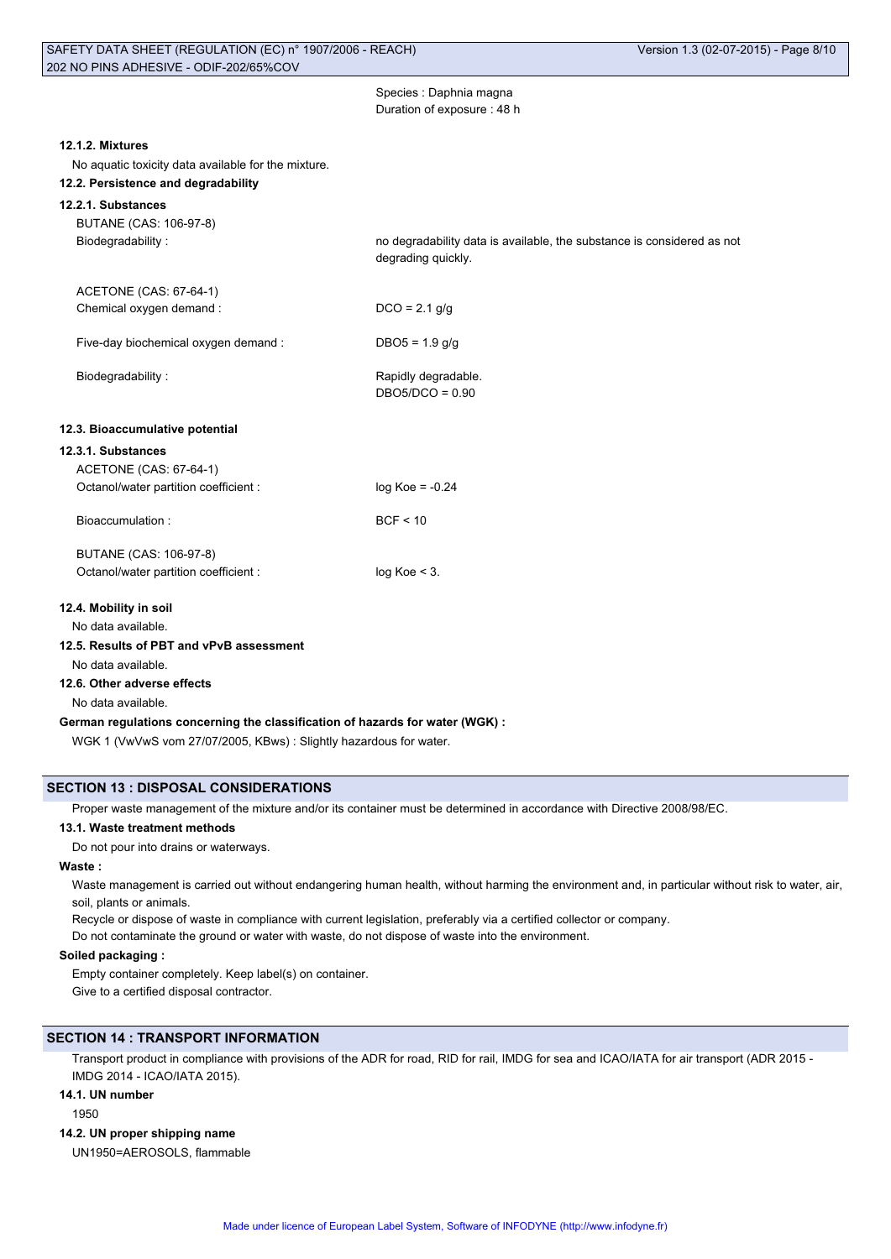| Species : Daphnia magna    |
|----------------------------|
| Duration of exposure: 48 h |
|                            |
|                            |

DBO5/DCO = 0.90

## **12.1.2. Mixtures**

No aquatic toxicity data available for the mixture.

# **12.2. Persistence and degradability**

# **12.2.1. Substances**

BUTANE (CAS: 106-97-8) Biodegradability : no degradability data is available, the substance is considered as not

degrading quickly. ACETONE (CAS: 67-64-1)

Chemical oxygen demand : DCO = 2.1 g/g

Five-day biochemical oxygen demand : DBO5 = 1.9 g/g

Biodegradability : The Contract of the Rapidly degradable.

## **12.3. Bioaccumulative potential**

# **12.3.1. Substances**

| ACETONE (CAS: 67-64-1)<br>Octanol/water partition coefficient: | $log Koe = -0.24$ |
|----------------------------------------------------------------|-------------------|
| Bioaccumulation:                                               | BCF < 10          |
|                                                                |                   |

| BUTANE (CAS: 106-97-8)                |                 |
|---------------------------------------|-----------------|
| Octanol/water partition coefficient : | $log Koe < 3$ . |

## **12.4. Mobility in soil**

No data available.

## **12.5. Results of PBT and vPvB assessment**

No data available.

## **12.6. Other adverse effects**

No data available.

#### **German regulations concerning the classification of hazards for water (WGK) :**

WGK 1 (VwVwS vom 27/07/2005, KBws) : Slightly hazardous for water.

## **SECTION 13 : DISPOSAL CONSIDERATIONS**

Proper waste management of the mixture and/or its container must be determined in accordance with Directive 2008/98/EC.

# **13.1. Waste treatment methods**

Do not pour into drains or waterways.

# **Waste :**

Waste management is carried out without endangering human health, without harming the environment and, in particular without risk to water, air, soil, plants or animals.

Recycle or dispose of waste in compliance with current legislation, preferably via a certified collector or company.

Do not contaminate the ground or water with waste, do not dispose of waste into the environment.

# **Soiled packaging :**

Empty container completely. Keep label(s) on container. Give to a certified disposal contractor.

# **SECTION 14 : TRANSPORT INFORMATION**

Transport product in compliance with provisions of the ADR for road, RID for rail, IMDG for sea and ICAO/IATA for air transport (ADR 2015 - IMDG 2014 - ICAO/IATA 2015).

## **14.1. UN number**

1950

# **14.2. UN proper shipping name**

UN1950=AEROSOLS, flammable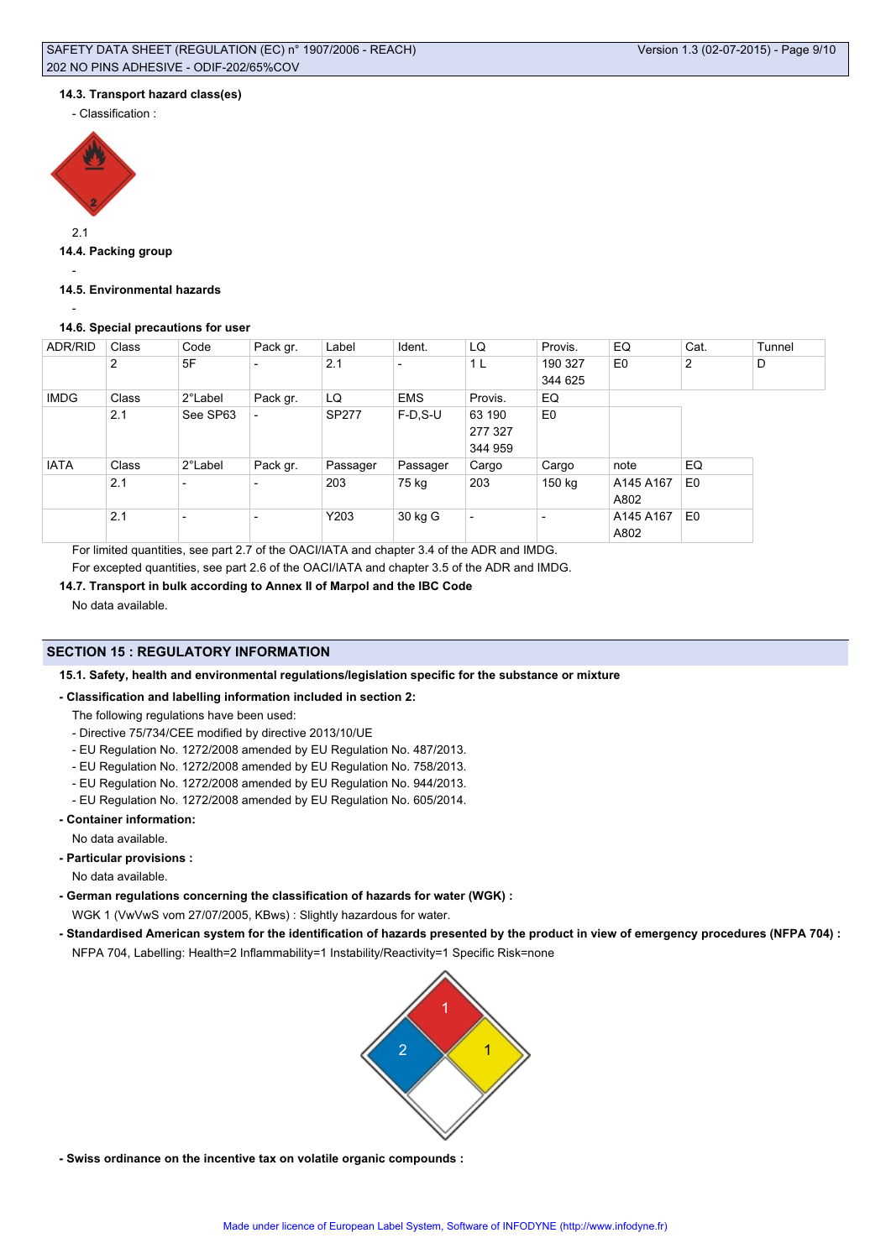## **14.3. Transport hazard class(es)**

- Classification :



2.1

# **14.4. Packing group**

-

## **14.5. Environmental hazards**

-

# **14.6. Special precautions for user**

| ADR/RID     | Class | Code                     | Pack gr.                 | Label        | Ident.                   | LQ                       | Provis.                  | EQ             | Cat.           | Tunnel |
|-------------|-------|--------------------------|--------------------------|--------------|--------------------------|--------------------------|--------------------------|----------------|----------------|--------|
|             | 2     | 5F                       | $\overline{\phantom{a}}$ | 2.1          | $\overline{\phantom{0}}$ | 1 L                      | 190 327                  | E <sub>0</sub> | 2              | D      |
|             |       |                          |                          |              |                          |                          | 344 625                  |                |                |        |
| <b>IMDG</b> | Class | 2°Label                  | Pack gr.                 | LQ           | <b>EMS</b>               | Provis.                  | EQ                       |                |                |        |
|             | 2.1   | See SP63                 |                          | <b>SP277</b> | $F-D$ , S-U              | 63 190                   | E <sub>0</sub>           |                |                |        |
|             |       |                          |                          |              |                          | 277 327                  |                          |                |                |        |
|             |       |                          |                          |              |                          | 344 959                  |                          |                |                |        |
| <b>IATA</b> | Class | 2°Label                  | Pack gr.                 | Passager     | Passager                 | Cargo                    | Cargo                    | note           | EQ             |        |
|             | 2.1   | $\overline{\phantom{a}}$ | $\overline{\phantom{a}}$ | 203          | 75 kg                    | 203                      | 150 kg                   | A145 A167      | E <sub>0</sub> |        |
|             |       |                          |                          |              |                          |                          |                          | A802           |                |        |
|             | 2.1   | $\overline{\phantom{a}}$ | $\overline{\phantom{0}}$ | Y203         | 30 kg G                  | $\overline{\phantom{a}}$ | $\overline{\phantom{0}}$ | A145 A167      | E <sub>0</sub> |        |
|             |       |                          |                          |              |                          |                          |                          | A802           |                |        |

For limited quantities, see part 2.7 of the OACI/IATA and chapter 3.4 of the ADR and IMDG. For excepted quantities, see part 2.6 of the OACI/IATA and chapter 3.5 of the ADR and IMDG.

# **14.7. Transport in bulk according to Annex II of Marpol and the IBC Code**

No data available.

# **SECTION 15 : REGULATORY INFORMATION**

**15.1. Safety, health and environmental regulations/legislation specific for the substance or mixture**

# **- Classification and labelling information included in section 2:**

- The following regulations have been used:
- Directive 75/734/CEE modified by directive 2013/10/UE
- EU Regulation No. 1272/2008 amended by EU Regulation No. 487/2013.
- EU Regulation No. 1272/2008 amended by EU Regulation No. 758/2013.
- EU Regulation No. 1272/2008 amended by EU Regulation No. 944/2013.
- EU Regulation No. 1272/2008 amended by EU Regulation No. 605/2014.
- **Container information:**

No data available.

**- Particular provisions :**

No data available.

- **German regulations concerning the classification of hazards for water (WGK) :** WGK 1 (VwVwS vom 27/07/2005, KBws) : Slightly hazardous for water.
- **Standardised American system for the identification of hazards presented by the product in view of emergency procedures (NFPA 704) :** NFPA 704, Labelling: Health=2 Inflammability=1 Instability/Reactivity=1 Specific Risk=none



**- Swiss ordinance on the incentive tax on volatile organic compounds :**